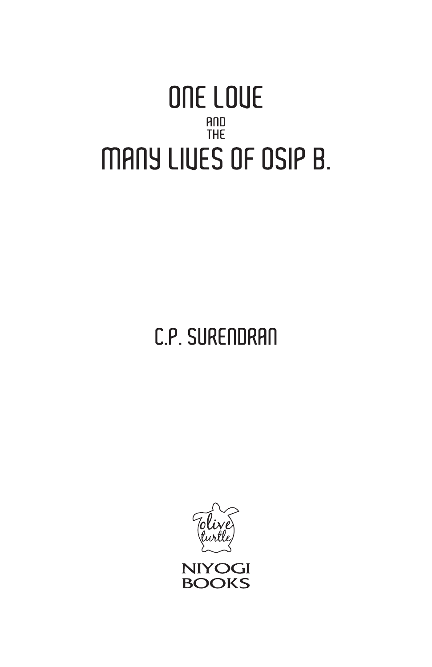## ONE LOUE AND<br>THE MANY LIVES OF OSIP B.

C.P. SURENDRAN



**NIYOGI BOOKS**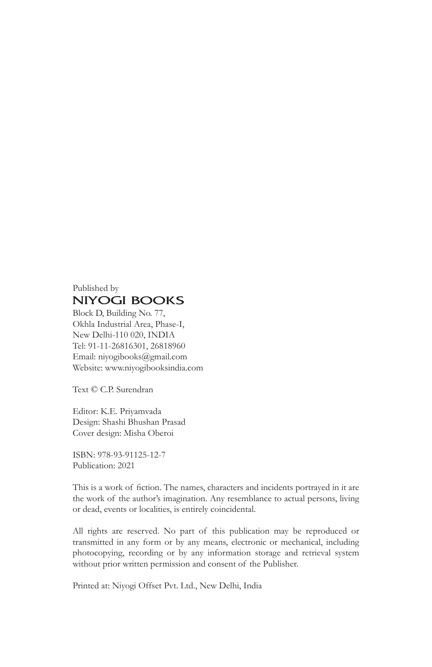## Published by **NIYOGI BOOKS**

Block D, Building No. 77, Okhla Industrial Area, Phase-I, New Delhi-110 020, INDIA Tel: 91-11-26816301, 26818960 Email: niyogibooks@gmail.com Website: www.niyogibooksindia.com

Text © C.P. Surendran

Editor: K.E. Priyamvada Design: Shashi Bhushan Prasad Cover design: Misha Oberoi

ISBN: 978-93-91125-12-7 Publication: 2021

This is a work of fiction. The names, characters and incidents portrayed in it are the work of the author's imagination. Any resemblance to actual persons, living or dead, events or localities, is entirely coincidental.

All rights are reserved. No part of this publication may be reproduced or transmitted in any form or by any means, electronic or mechanical, including photocopying, recording or by any information storage and retrieval system without prior written permission and consent of the Publisher.

Printed at: Niyogi Offset Pvt. Ltd., New Delhi, India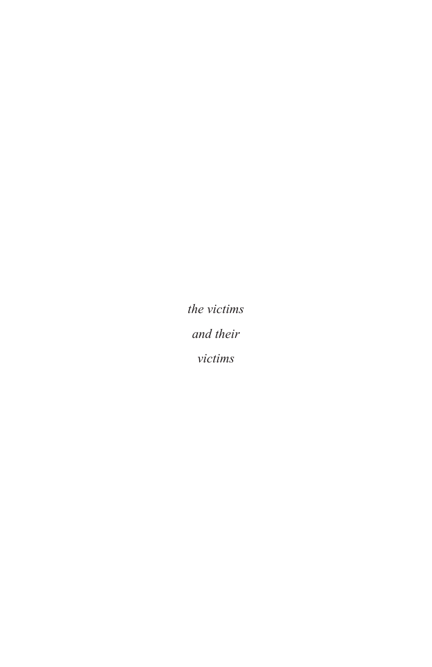*the victims and their victims*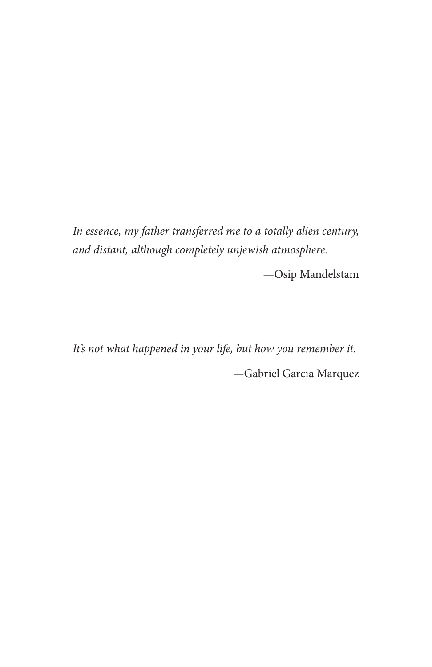*In essence, my father transferred me to a totally alien century, and distant, although completely unjewish atmosphere.*

—Osip Mandelstam

*It's not what happened in your life, but how you remember it.* —Gabriel Garcia Marquez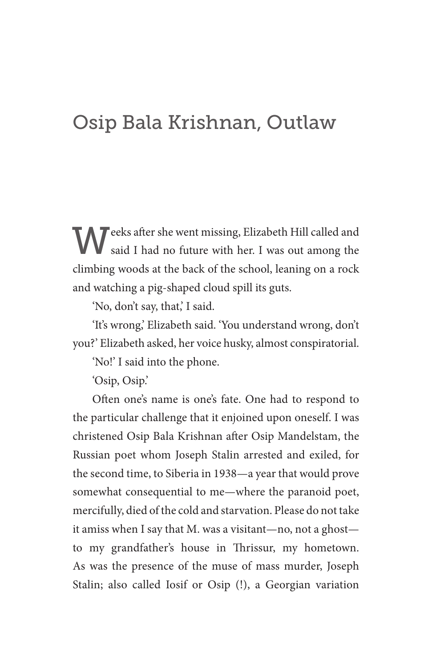## Osip Bala Krishnan, Outlaw

Weeks after she went missing, Elizabeth Hill called and said I had no future with her. I was out among the climbing woods at the back of the school, leaning on a rock and watching a pig-shaped cloud spill its guts.

'No, don't say, that,' I said.

'It's wrong,' Elizabeth said. 'You understand wrong, don't you?' Elizabeth asked, her voice husky, almost conspiratorial.

'No!' I said into the phone.

'Osip, Osip.'

Often one's name is one's fate. One had to respond to the particular challenge that it enjoined upon oneself. I was christened Osip Bala Krishnan after Osip Mandelstam, the Russian poet whom Joseph Stalin arrested and exiled, for the second time, to Siberia in 1938—a year that would prove somewhat consequential to me—where the paranoid poet, mercifully, died of the cold and starvation. Please do not take it amiss when I say that M. was a visitant—no, not a ghost to my grandfather's house in Thrissur, my hometown. As was the presence of the muse of mass murder, Joseph Stalin; also called Iosif or Osip (!), a Georgian variation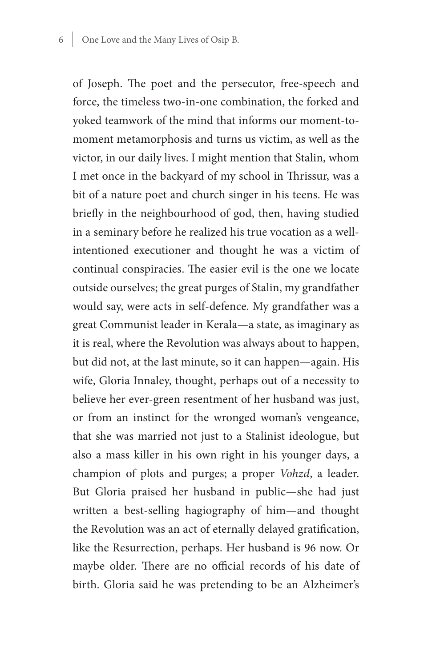of Joseph. The poet and the persecutor, free-speech and force, the timeless two-in-one combination, the forked and yoked teamwork of the mind that informs our moment-tomoment metamorphosis and turns us victim, as well as the victor, in our daily lives. I might mention that Stalin, whom I met once in the backyard of my school in Thrissur, was a bit of a nature poet and church singer in his teens. He was briefly in the neighbourhood of god, then, having studied in a seminary before he realized his true vocation as a wellintentioned executioner and thought he was a victim of continual conspiracies. The easier evil is the one we locate outside ourselves; the great purges of Stalin, my grandfather would say, were acts in self-defence. My grandfather was a great Communist leader in Kerala—a state, as imaginary as it is real, where the Revolution was always about to happen, but did not, at the last minute, so it can happen—again. His wife, Gloria Innaley, thought, perhaps out of a necessity to believe her ever-green resentment of her husband was just, or from an instinct for the wronged woman's vengeance, that she was married not just to a Stalinist ideologue, but also a mass killer in his own right in his younger days, a champion of plots and purges; a proper *Vohzd*, a leader. But Gloria praised her husband in public—she had just written a best-selling hagiography of him—and thought the Revolution was an act of eternally delayed gratification, like the Resurrection, perhaps. Her husband is 96 now. Or maybe older. There are no official records of his date of birth. Gloria said he was pretending to be an Alzheimer's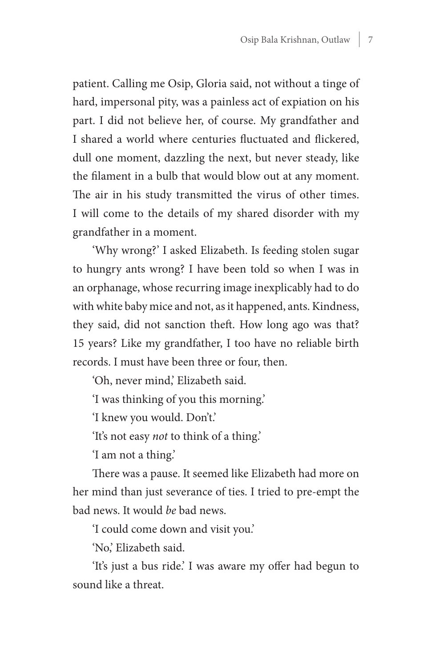patient. Calling me Osip, Gloria said, not without a tinge of hard, impersonal pity, was a painless act of expiation on his part. I did not believe her, of course. My grandfather and I shared a world where centuries fluctuated and flickered, dull one moment, dazzling the next, but never steady, like the filament in a bulb that would blow out at any moment. The air in his study transmitted the virus of other times. I will come to the details of my shared disorder with my grandfather in a moment.

'Why wrong?' I asked Elizabeth. Is feeding stolen sugar to hungry ants wrong? I have been told so when I was in an orphanage, whose recurring image inexplicably had to do with white baby mice and not, as it happened, ants. Kindness, they said, did not sanction theft. How long ago was that? 15 years? Like my grandfather, I too have no reliable birth records. I must have been three or four, then.

'Oh, never mind,' Elizabeth said.

'I was thinking of you this morning.'

'I knew you would. Don't.'

'It's not easy *not* to think of a thing.'

'I am not a thing.'

There was a pause. It seemed like Elizabeth had more on her mind than just severance of ties. I tried to pre-empt the bad news. It would *be* bad news.

'I could come down and visit you.'

'No,' Elizabeth said.

'It's just a bus ride.' I was aware my offer had begun to sound like a threat.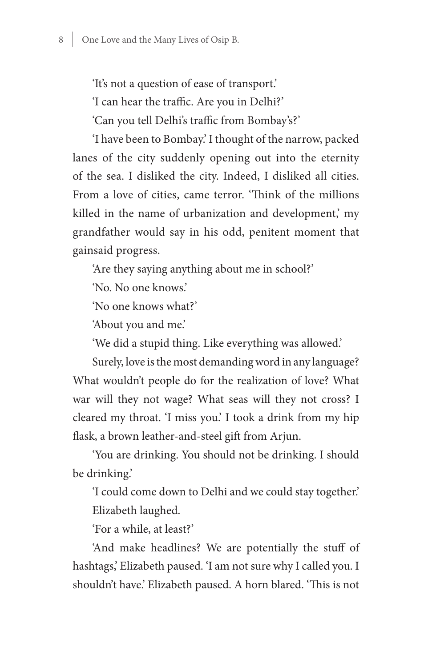'It's not a question of ease of transport.'

'I can hear the traffic. Are you in Delhi?'

'Can you tell Delhi's traffic from Bombay's?'

'I have been to Bombay.' I thought of the narrow, packed lanes of the city suddenly opening out into the eternity of the sea. I disliked the city. Indeed, I disliked all cities. From a love of cities, came terror. 'Think of the millions killed in the name of urbanization and development,' my grandfather would say in his odd, penitent moment that gainsaid progress.

'Are they saying anything about me in school?'

'No. No one knows.'

'No one knows what?'

'About you and me.'

'We did a stupid thing. Like everything was allowed.'

Surely, love is the most demanding word in any language? What wouldn't people do for the realization of love? What war will they not wage? What seas will they not cross? I cleared my throat. 'I miss you.' I took a drink from my hip flask, a brown leather-and-steel gift from Arjun.

'You are drinking. You should not be drinking. I should be drinking.'

'I could come down to Delhi and we could stay together.' Elizabeth laughed.

'For a while, at least?'

'And make headlines? We are potentially the stuff of hashtags,' Elizabeth paused. 'I am not sure why I called you. I shouldn't have.' Elizabeth paused. A horn blared. 'This is not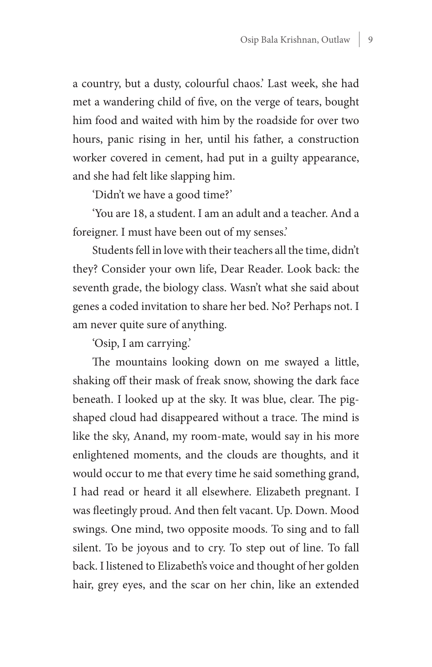a country, but a dusty, colourful chaos.' Last week, she had met a wandering child of five, on the verge of tears, bought him food and waited with him by the roadside for over two hours, panic rising in her, until his father, a construction worker covered in cement, had put in a guilty appearance, and she had felt like slapping him.

'Didn't we have a good time?'

'You are 18, a student. I am an adult and a teacher. And a foreigner. I must have been out of my senses.'

Students fell in love with their teachers all the time, didn't they? Consider your own life, Dear Reader. Look back: the seventh grade, the biology class. Wasn't what she said about genes a coded invitation to share her bed. No? Perhaps not. I am never quite sure of anything.

'Osip, I am carrying.'

The mountains looking down on me swayed a little, shaking off their mask of freak snow, showing the dark face beneath. I looked up at the sky. It was blue, clear. The pigshaped cloud had disappeared without a trace. The mind is like the sky, Anand, my room-mate, would say in his more enlightened moments, and the clouds are thoughts, and it would occur to me that every time he said something grand, I had read or heard it all elsewhere. Elizabeth pregnant. I was fleetingly proud. And then felt vacant. Up. Down. Mood swings. One mind, two opposite moods. To sing and to fall silent. To be joyous and to cry. To step out of line. To fall back. I listened to Elizabeth's voice and thought of her golden hair, grey eyes, and the scar on her chin, like an extended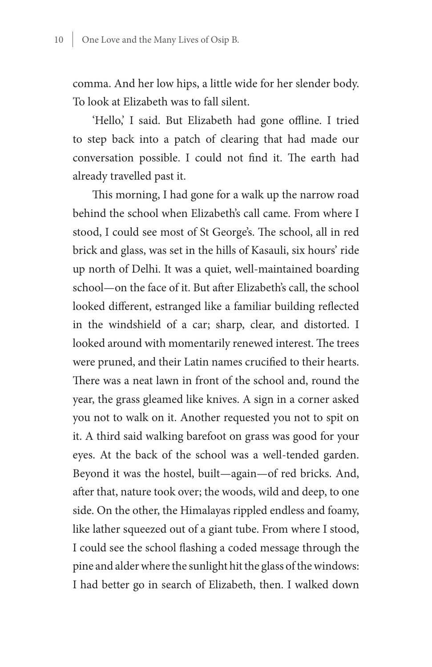comma. And her low hips, a little wide for her slender body. To look at Elizabeth was to fall silent.

'Hello,' I said. But Elizabeth had gone offline. I tried to step back into a patch of clearing that had made our conversation possible. I could not find it. The earth had already travelled past it.

This morning, I had gone for a walk up the narrow road behind the school when Elizabeth's call came. From where I stood, I could see most of St George's. The school, all in red brick and glass, was set in the hills of Kasauli, six hours' ride up north of Delhi. It was a quiet, well-maintained boarding school—on the face of it. But after Elizabeth's call, the school looked different, estranged like a familiar building reflected in the windshield of a car; sharp, clear, and distorted. I looked around with momentarily renewed interest. The trees were pruned, and their Latin names crucified to their hearts. There was a neat lawn in front of the school and, round the year, the grass gleamed like knives. A sign in a corner asked you not to walk on it. Another requested you not to spit on it. A third said walking barefoot on grass was good for your eyes. At the back of the school was a well-tended garden. Beyond it was the hostel, built—again—of red bricks. And, after that, nature took over; the woods, wild and deep, to one side. On the other, the Himalayas rippled endless and foamy, like lather squeezed out of a giant tube. From where I stood, I could see the school flashing a coded message through the pine and alder where the sunlight hit the glass of the windows: I had better go in search of Elizabeth, then. I walked down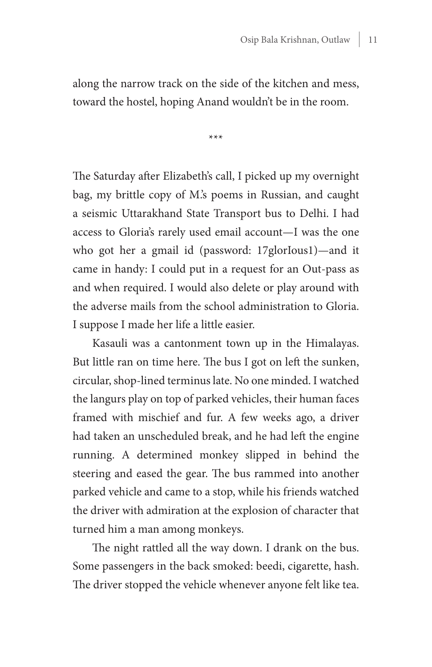along the narrow track on the side of the kitchen and mess, toward the hostel, hoping Anand wouldn't be in the room.

\*\*\*

The Saturday after Elizabeth's call, I picked up my overnight bag, my brittle copy of M.'s poems in Russian, and caught a seismic Uttarakhand State Transport bus to Delhi. I had access to Gloria's rarely used email account—I was the one who got her a gmail id (password: 17glorIous1)—and it came in handy: I could put in a request for an Out-pass as and when required. I would also delete or play around with the adverse mails from the school administration to Gloria. I suppose I made her life a little easier.

Kasauli was a cantonment town up in the Himalayas. But little ran on time here. The bus I got on left the sunken, circular, shop-lined terminus late. No one minded. I watched the langurs play on top of parked vehicles, their human faces framed with mischief and fur. A few weeks ago, a driver had taken an unscheduled break, and he had left the engine running. A determined monkey slipped in behind the steering and eased the gear. The bus rammed into another parked vehicle and came to a stop, while his friends watched the driver with admiration at the explosion of character that turned him a man among monkeys.

The night rattled all the way down. I drank on the bus. Some passengers in the back smoked: beedi, cigarette, hash. The driver stopped the vehicle whenever anyone felt like tea.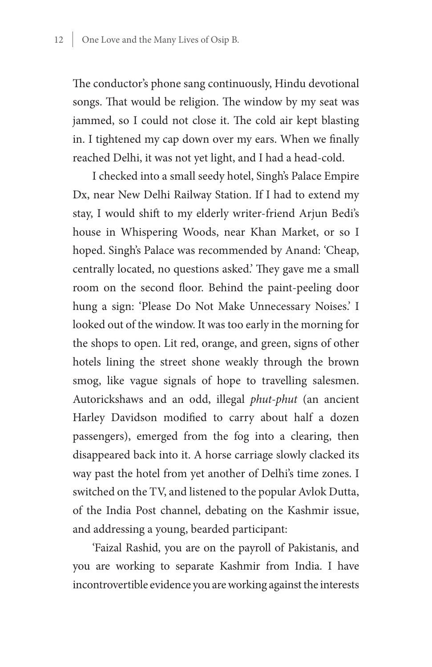The conductor's phone sang continuously, Hindu devotional songs. That would be religion. The window by my seat was jammed, so I could not close it. The cold air kept blasting in. I tightened my cap down over my ears. When we finally reached Delhi, it was not yet light, and I had a head-cold.

I checked into a small seedy hotel, Singh's Palace Empire Dx, near New Delhi Railway Station. If I had to extend my stay, I would shift to my elderly writer-friend Arjun Bedi's house in Whispering Woods, near Khan Market, or so I hoped. Singh's Palace was recommended by Anand: 'Cheap, centrally located, no questions asked.' They gave me a small room on the second floor. Behind the paint-peeling door hung a sign: 'Please Do Not Make Unnecessary Noises.' I looked out of the window. It was too early in the morning for the shops to open. Lit red, orange, and green, signs of other hotels lining the street shone weakly through the brown smog, like vague signals of hope to travelling salesmen. Autorickshaws and an odd, illegal *phut-phut* (an ancient Harley Davidson modified to carry about half a dozen passengers), emerged from the fog into a clearing, then disappeared back into it. A horse carriage slowly clacked its way past the hotel from yet another of Delhi's time zones. I switched on the TV, and listened to the popular Avlok Dutta, of the India Post channel, debating on the Kashmir issue, and addressing a young, bearded participant:

'Faizal Rashid, you are on the payroll of Pakistanis, and you are working to separate Kashmir from India. I have incontrovertible evidence you are working against the interests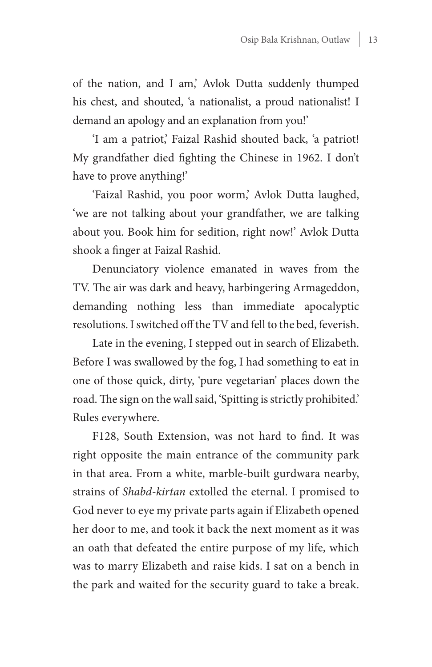of the nation, and I am,' Avlok Dutta suddenly thumped his chest, and shouted, 'a nationalist, a proud nationalist! I demand an apology and an explanation from you!'

'I am a patriot,' Faizal Rashid shouted back, 'a patriot! My grandfather died fighting the Chinese in 1962. I don't have to prove anything!'

'Faizal Rashid, you poor worm,' Avlok Dutta laughed, 'we are not talking about your grandfather, we are talking about you. Book him for sedition, right now!' Avlok Dutta shook a finger at Faizal Rashid.

Denunciatory violence emanated in waves from the TV. The air was dark and heavy, harbingering Armageddon, demanding nothing less than immediate apocalyptic resolutions. I switched off the TV and fell to the bed, feverish.

Late in the evening, I stepped out in search of Elizabeth. Before I was swallowed by the fog, I had something to eat in one of those quick, dirty, 'pure vegetarian' places down the road. The sign on the wall said, 'Spitting is strictly prohibited.' Rules everywhere.

F128, South Extension, was not hard to find. It was right opposite the main entrance of the community park in that area. From a white, marble-built gurdwara nearby, strains of *Shabd-kirtan* extolled the eternal. I promised to God never to eye my private parts again if Elizabeth opened her door to me, and took it back the next moment as it was an oath that defeated the entire purpose of my life, which was to marry Elizabeth and raise kids. I sat on a bench in the park and waited for the security guard to take a break.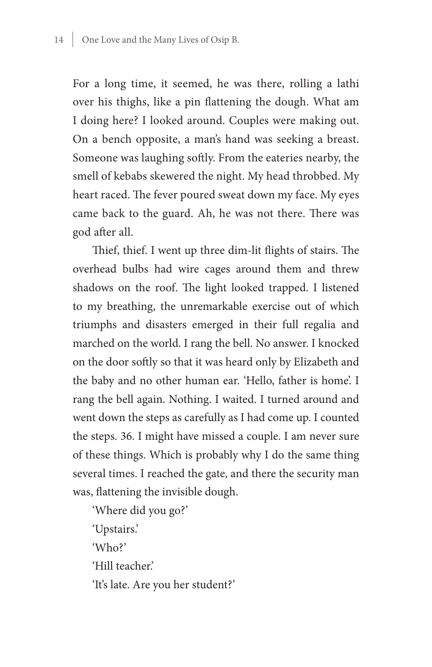For a long time, it seemed, he was there, rolling a lathi over his thighs, like a pin flattening the dough. What am I doing here? I looked around. Couples were making out. On a bench opposite, a man's hand was seeking a breast. Someone was laughing softly. From the eateries nearby, the smell of kebabs skewered the night. My head throbbed. My heart raced. The fever poured sweat down my face. My eyes came back to the guard. Ah, he was not there. There was god after all.

Thief, thief. I went up three dim-lit flights of stairs. The overhead bulbs had wire cages around them and threw shadows on the roof. The light looked trapped. I listened to my breathing, the unremarkable exercise out of which triumphs and disasters emerged in their full regalia and marched on the world. I rang the bell. No answer. I knocked on the door softly so that it was heard only by Elizabeth and the baby and no other human ear. 'Hello, father is home'. I rang the bell again. Nothing. I waited. I turned around and went down the steps as carefully as I had come up. I counted the steps. 36. I might have missed a couple. I am never sure of these things. Which is probably why I do the same thing several times. I reached the gate, and there the security man was, flattening the invisible dough.

'Where did you go?' 'Upstairs.' 'Who?' 'Hill teacher.' 'It's late. Are you her student?'